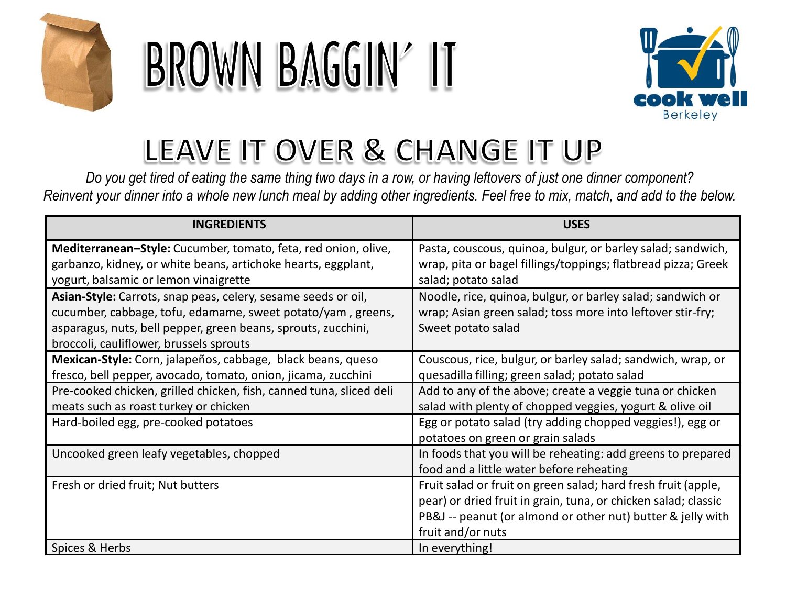

# BROWN BAGGIN' IT



## LEAVE IT OVER & CHANGE IT UP

*Do you get tired of eating the same thing two days in a row, or having leftovers of just one dinner component? Reinvent your dinner into a whole new lunch meal by adding other ingredients. Feel free to mix, match, and add to the below.*

| <b>INGREDIENTS</b>                                                  | <b>USES</b>                                                    |
|---------------------------------------------------------------------|----------------------------------------------------------------|
| Mediterranean-Style: Cucumber, tomato, feta, red onion, olive,      | Pasta, couscous, quinoa, bulgur, or barley salad; sandwich,    |
| garbanzo, kidney, or white beans, artichoke hearts, eggplant,       | wrap, pita or bagel fillings/toppings; flatbread pizza; Greek  |
| yogurt, balsamic or lemon vinaigrette                               | salad; potato salad                                            |
| Asian-Style: Carrots, snap peas, celery, sesame seeds or oil,       | Noodle, rice, quinoa, bulgur, or barley salad; sandwich or     |
| cucumber, cabbage, tofu, edamame, sweet potato/yam, greens,         | wrap; Asian green salad; toss more into leftover stir-fry;     |
| asparagus, nuts, bell pepper, green beans, sprouts, zucchini,       | Sweet potato salad                                             |
| broccoli, cauliflower, brussels sprouts                             |                                                                |
| Mexican-Style: Corn, jalapeños, cabbage, black beans, queso         | Couscous, rice, bulgur, or barley salad; sandwich, wrap, or    |
| fresco, bell pepper, avocado, tomato, onion, jicama, zucchini       | quesadilla filling; green salad; potato salad                  |
| Pre-cooked chicken, grilled chicken, fish, canned tuna, sliced deli | Add to any of the above; create a veggie tuna or chicken       |
| meats such as roast turkey or chicken                               | salad with plenty of chopped veggies, yogurt & olive oil       |
| Hard-boiled egg, pre-cooked potatoes                                | Egg or potato salad (try adding chopped veggies!), egg or      |
|                                                                     | potatoes on green or grain salads                              |
| Uncooked green leafy vegetables, chopped                            | In foods that you will be reheating: add greens to prepared    |
|                                                                     | food and a little water before reheating                       |
| Fresh or dried fruit; Nut butters                                   | Fruit salad or fruit on green salad; hard fresh fruit (apple,  |
|                                                                     | pear) or dried fruit in grain, tuna, or chicken salad; classic |
|                                                                     | PB&J -- peanut (or almond or other nut) butter & jelly with    |
|                                                                     | fruit and/or nuts                                              |
| Spices & Herbs                                                      | In everything!                                                 |